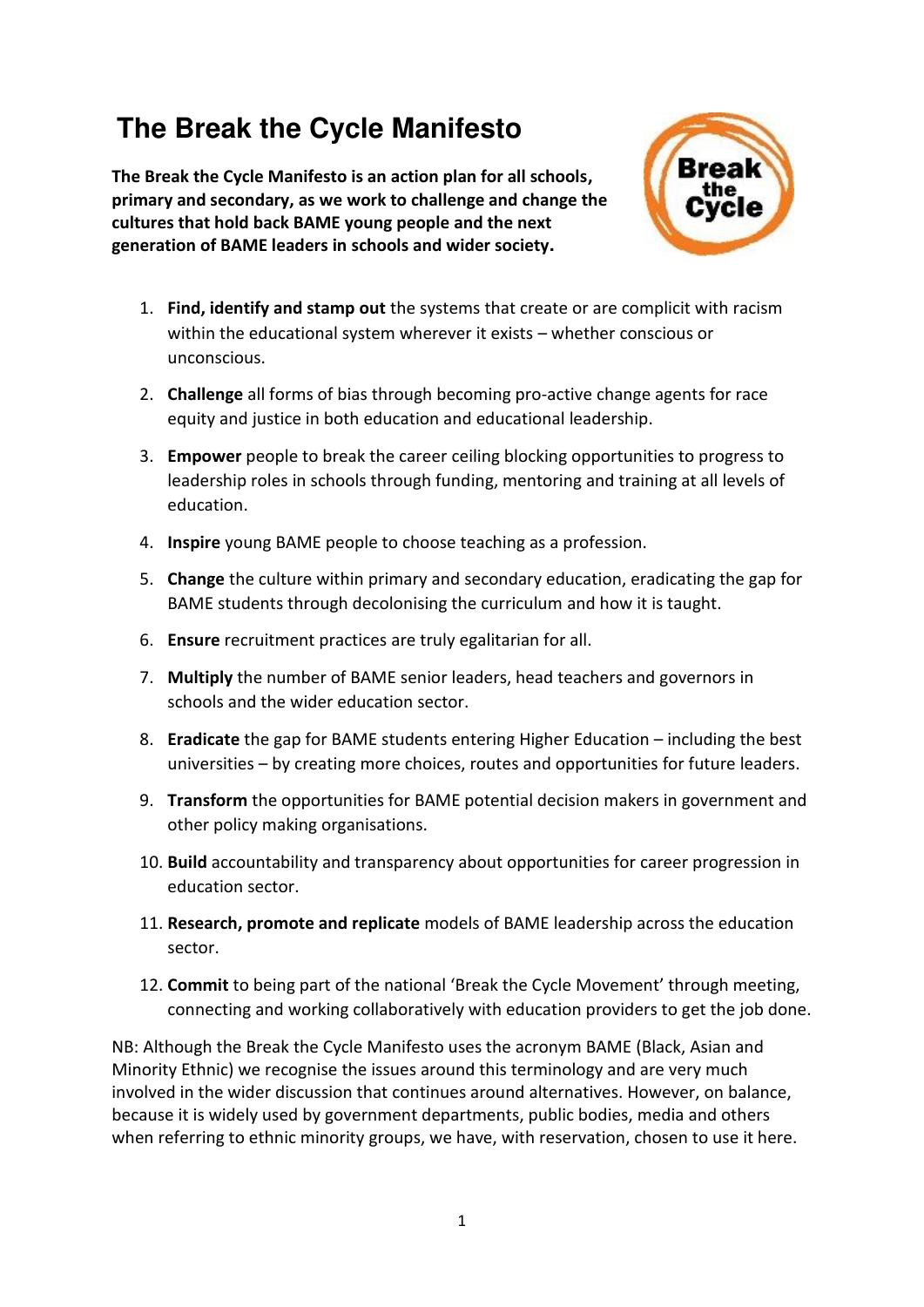# **The Break the Cycle Manifesto**

**The Break the Cycle Manifesto is an action plan for all schools, primary and secondary, as we work to challenge and change the cultures that hold back BAME young people and the next generation of BAME leaders in schools and wider society.** 



- 1. **Find, identify and stamp out** the systems that create or are complicit with racism within the educational system wherever it exists – whether conscious or unconscious.
- 2. **Challenge** all forms of bias through becoming pro-active change agents for race equity and justice in both education and educational leadership.
- 3. **Empower** people to break the career ceiling blocking opportunities to progress to leadership roles in schools through funding, mentoring and training at all levels of education.
- 4. **Inspire** young BAME people to choose teaching as a profession.
- 5. **Change** the culture within primary and secondary education, eradicating the gap for BAME students through decolonising the curriculum and how it is taught.
- 6. **Ensure** recruitment practices are truly egalitarian for all.
- 7. **Multiply** the number of BAME senior leaders, head teachers and governors in schools and the wider education sector.
- 8. **Eradicate** the gap for BAME students entering Higher Education including the best universities – by creating more choices, routes and opportunities for future leaders.
- 9. **Transform** the opportunities for BAME potential decision makers in government and other policy making organisations.
- 10. **Build** accountability and transparency about opportunities for career progression in education sector.
- 11. **Research, promote and replicate** models of BAME leadership across the education sector.
- 12. **Commit** to being part of the national 'Break the Cycle Movement' through meeting, connecting and working collaboratively with education providers to get the job done.

NB: Although the Break the Cycle Manifesto uses the acronym BAME (Black, Asian and Minority Ethnic) we recognise the issues around this terminology and are very much involved in the wider discussion that continues around alternatives. However, on balance, because it is widely used by government departments, public bodies, media and others when referring to ethnic minority groups, we have, with reservation, chosen to use it here.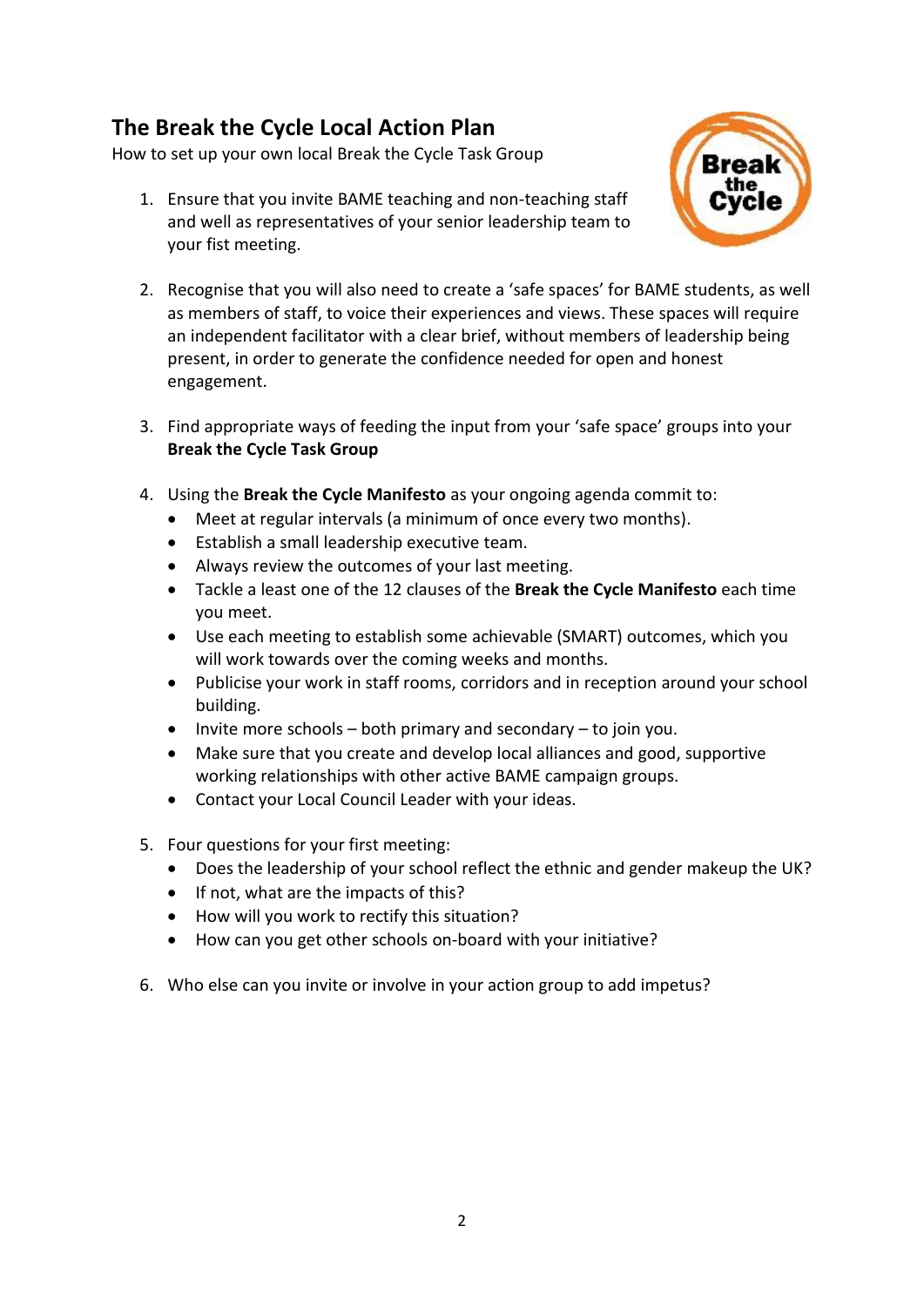## **The Break the Cycle Local Action Plan**

How to set up your own local Break the Cycle Task Group

1. Ensure that you invite BAME teaching and non-teaching staff and well as representatives of your senior leadership team to your fist meeting.



- 2. Recognise that you will also need to create a 'safe spaces' for BAME students, as well as members of staff, to voice their experiences and views. These spaces will require an independent facilitator with a clear brief, without members of leadership being present, in order to generate the confidence needed for open and honest engagement.
- 3. Find appropriate ways of feeding the input from your 'safe space' groups into your **Break the Cycle Task Group**
- 4. Using the **Break the Cycle Manifesto** as your ongoing agenda commit to:
	- Meet at regular intervals (a minimum of once every two months).
	- Establish a small leadership executive team.
	- Always review the outcomes of your last meeting.
	- Tackle a least one of the 12 clauses of the **Break the Cycle Manifesto** each time you meet.
	- Use each meeting to establish some achievable (SMART) outcomes, which you will work towards over the coming weeks and months.
	- Publicise your work in staff rooms, corridors and in reception around your school building.
	- Invite more schools both primary and secondary to join you.
	- Make sure that you create and develop local alliances and good, supportive working relationships with other active BAME campaign groups.
	- Contact your Local Council Leader with your ideas.
- 5. Four questions for your first meeting:
	- Does the leadership of your school reflect the ethnic and gender makeup the UK?
	- If not, what are the impacts of this?
	- How will you work to rectify this situation?
	- How can you get other schools on-board with your initiative?
- 6. Who else can you invite or involve in your action group to add impetus?